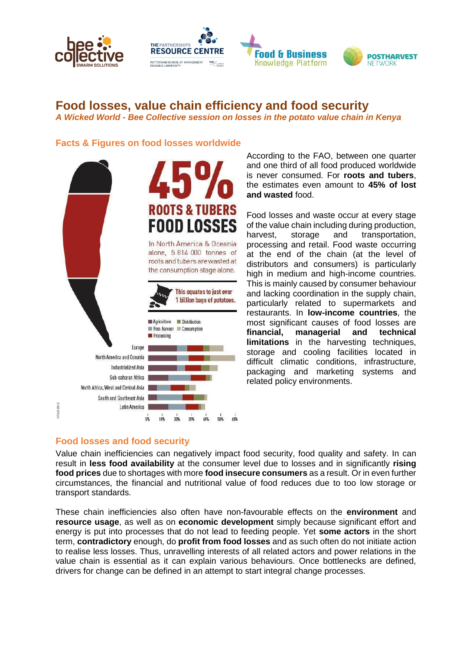





# **Food losses, value chain efficiency and food security**

*A Wicked World - Bee Collective session on losses in the potato value chain in Kenya*

### **Facts & Figures on food losses worldwide**



According to the FAO, between one quarter and one third of all food produced worldwide is never consumed. For **roots and tubers**, the estimates even amount to **45% of lost and wasted** food.

Food losses and waste occur at every stage of the value chain including during production, harvest, storage and transportation, processing and retail. Food waste occurring at the end of the chain (at the level of distributors and consumers) is particularly high in medium and high-income countries. This is mainly caused by consumer behaviour and lacking coordination in the supply chain, particularly related to supermarkets and restaurants. In **low-income countries**, the most significant causes of food losses are **financial, managerial and technical limitations** in the harvesting techniques, storage and cooling facilities located in difficult climatic conditions, infrastructure, packaging and marketing systems and related policy environments.

## **Food losses and food security**

Value chain inefficiencies can negatively impact food security, food quality and safety. In can result in **less food availability** at the consumer level due to losses and in significantly **rising food prices** due to shortages with more **food insecure consumers** as a result. Or in even further circumstances, the financial and nutritional value of food reduces due to too low storage or transport standards.

These chain inefficiencies also often have non-favourable effects on the **environment** and **resource usage**, as well as on **economic development** simply because significant effort and energy is put into processes that do not lead to feeding people. Yet **some actors** in the short term, **contradictory** enough, do **profit from food losses** and as such often do not initiate action to realise less losses. Thus, unravelling interests of all related actors and power relations in the value chain is essential as it can explain various behaviours. Once bottlenecks are defined, drivers for change can be defined in an attempt to start integral change processes.